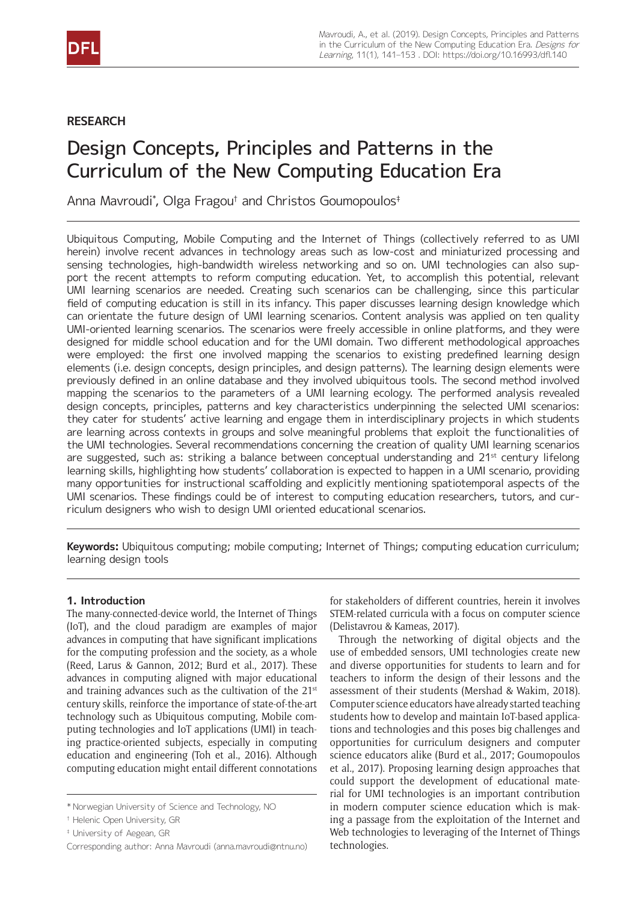# **RESEARCH**

# Design Concepts, Principles and Patterns in the Curriculum of the New Computing Education Era

Anna Mavroudi\* , Olga Fragou† and Christos Goumopoulos‡

Ubiquitous Computing, Mobile Computing and the Internet of Things (collectively referred to as UMI herein) involve recent advances in technology areas such as low-cost and miniaturized processing and sensing technologies, high-bandwidth wireless networking and so on. UMI technologies can also support the recent attempts to reform computing education. Yet, to accomplish this potential, relevant UMI learning scenarios are needed. Creating such scenarios can be challenging, since this particular field of computing education is still in its infancy. This paper discusses learning design knowledge which can orientate the future design of UMI learning scenarios. Content analysis was applied on ten quality UMI-oriented learning scenarios. The scenarios were freely accessible in online platforms, and they were designed for middle school education and for the UMI domain. Two different methodological approaches were employed: the first one involved mapping the scenarios to existing predefined learning design elements (i.e. design concepts, design principles, and design patterns). The learning design elements were previously defined in an online database and they involved ubiquitous tools. The second method involved mapping the scenarios to the parameters of a UMI learning ecology. The performed analysis revealed design concepts, principles, patterns and key characteristics underpinning the selected UMI scenarios: they cater for students' active learning and engage them in interdisciplinary projects in which students are learning across contexts in groups and solve meaningful problems that exploit the functionalities of the UMI technologies. Several recommendations concerning the creation of quality UMI learning scenarios are suggested, such as: striking a balance between conceptual understanding and 21<sup>st</sup> century lifelong learning skills, highlighting how students' collaboration is expected to happen in a UMI scenario, providing many opportunities for instructional scaffolding and explicitly mentioning spatiotemporal aspects of the UMI scenarios. These findings could be of interest to computing education researchers, tutors, and curriculum designers who wish to design UMI oriented educational scenarios.

**Keywords:** Ubiquitous computing; mobile computing; Internet of Things; computing education curriculum; learning design tools

# **1. Introduction**

The many-connected-device world, the Internet of Things (IoT), and the cloud paradigm are examples of major advances in computing that have significant implications for the computing profession and the society, as a whole (Reed, Larus & Gannon, 2012; Burd et al., 2017). These advances in computing aligned with major educational and training advances such as the cultivation of the  $21<sup>st</sup>$ century skills, reinforce the importance of state-of-the-art technology such as Ubiquitous computing, Mobile computing technologies and IoT applications (UMI) in teaching practice-oriented subjects, especially in computing education and engineering (Toh et al., 2016). Although computing education might entail different connotations

for stakeholders of different countries, herein it involves STEM-related curricula with a focus on computer science (Delistavrou & Kameas, 2017).

Through the networking of digital objects and the use of embedded sensors, UMI technologies create new and diverse opportunities for students to learn and for teachers to inform the design of their lessons and the assessment of their students (Mershad & Wakim, 2018). Computer science educators have already started teaching students how to develop and maintain IoT-based applications and technologies and this poses big challenges and opportunities for curriculum designers and computer science educators alike (Burd et al., 2017; Goumopoulos et al., 2017). Proposing learning design approaches that could support the development of educational material for UMI technologies is an important contribution in modern computer science education which is making a passage from the exploitation of the Internet and Web technologies to leveraging of the Internet of Things technologies.

<sup>\*</sup> Norwegian University of Science and Technology, NO

<sup>†</sup> Helenic Open University, GR

<sup>‡</sup> University of Aegean, GR

[Corresponding author: Anna Mavroudi \(anna.mavroudi@ntnu.no\)](mailto:anna.mavroudi@ntnu.no)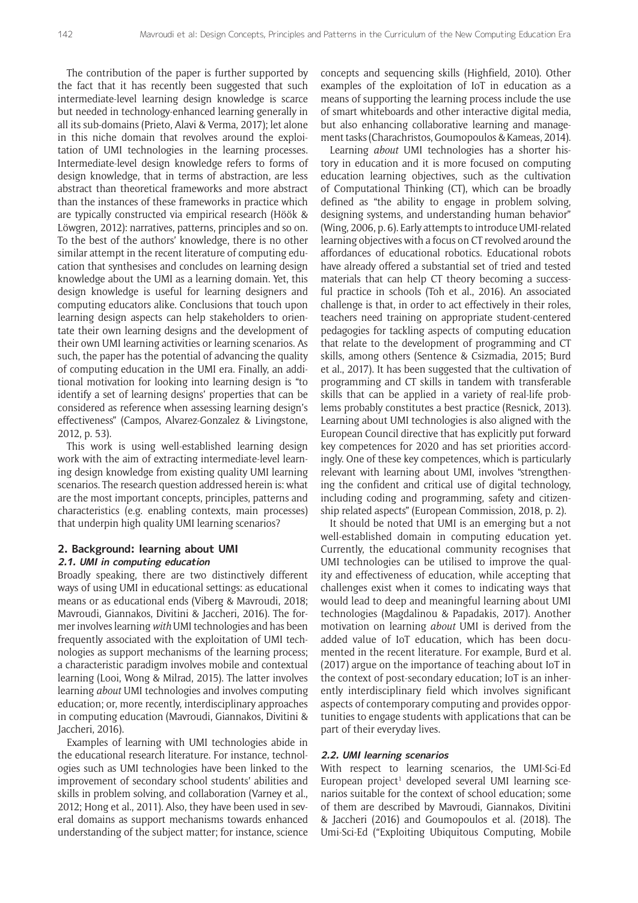The contribution of the paper is further supported by the fact that it has recently been suggested that such intermediate-level learning design knowledge is scarce but needed in technology-enhanced learning generally in all its sub-domains (Prieto, Alavi & Verma, 2017); let alone in this niche domain that revolves around the exploitation of UMI technologies in the learning processes. Intermediate-level design knowledge refers to forms of design knowledge, that in terms of abstraction, are less abstract than theoretical frameworks and more abstract than the instances of these frameworks in practice which are typically constructed via empirical research (Höök & Löwgren, 2012): narratives, patterns, principles and so on. To the best of the authors' knowledge, there is no other similar attempt in the recent literature of computing education that synthesises and concludes on learning design knowledge about the UMI as a learning domain. Yet, this design knowledge is useful for learning designers and computing educators alike. Conclusions that touch upon learning design aspects can help stakeholders to orientate their own learning designs and the development of their own UMI learning activities or learning scenarios. As such, the paper has the potential of advancing the quality of computing education in the UMI era. Finally, an additional motivation for looking into learning design is "to identify a set of learning designs' properties that can be considered as reference when assessing learning design's effectiveness" (Campos, Alvarez-Gonzalez & Livingstone, 2012, p. 53).

This work is using well-established learning design work with the aim of extracting intermediate-level learning design knowledge from existing quality UMI learning scenarios. The research question addressed herein is: what are the most important concepts, principles, patterns and characteristics (e.g. enabling contexts, main processes) that underpin high quality UMI learning scenarios?

#### **2. Background: learning about UMI 2.1. UMI in computing education**

Broadly speaking, there are two distinctively different ways of using UMI in educational settings: as educational means or as educational ends (Viberg & Mavroudi, 2018; Mavroudi, Giannakos, Divitini & Jaccheri, 2016). The former involves learning *with* UMI technologies and has been frequently associated with the exploitation of UMI technologies as support mechanisms of the learning process; a characteristic paradigm involves mobile and contextual learning (Looi, Wong & Milrad, 2015). The latter involves learning *about* UMI technologies and involves computing education; or, more recently, interdisciplinary approaches in computing education (Mavroudi, Giannakos, Divitini & Jaccheri, 2016).

Examples of learning with UMI technologies abide in the educational research literature. For instance, technologies such as UMI technologies have been linked to the improvement of secondary school students' abilities and skills in problem solving, and collaboration (Varney et al., 2012; Hong et al., 2011). Also, they have been used in several domains as support mechanisms towards enhanced understanding of the subject matter; for instance, science concepts and sequencing skills (Highfield, 2010). Other examples of the exploitation of IoT in education as a means of supporting the learning process include the use of smart whiteboards and other interactive digital media, but also enhancing collaborative learning and management tasks (Charachristos, Goumopoulos & Kameas, 2014).

Learning *about* UMI technologies has a shorter history in education and it is more focused on computing education learning objectives, such as the cultivation of Computational Thinking (CT), which can be broadly defined as "the ability to engage in problem solving, designing systems, and understanding human behavior" (Wing, 2006, p. 6). Early attempts to introduce UMI-related learning objectives with a focus on CT revolved around the affordances of educational robotics. Educational robots have already offered a substantial set of tried and tested materials that can help CT theory becoming a successful practice in schools (Toh et al., 2016). An associated challenge is that, in order to act effectively in their roles, teachers need training on appropriate student-centered pedagogies for tackling aspects of computing education that relate to the development of programming and CT skills, among others (Sentence & Csizmadia, 2015; Burd et al., 2017). It has been suggested that the cultivation of programming and CT skills in tandem with transferable skills that can be applied in a variety of real-life problems probably constitutes a best practice (Resnick, 2013). Learning about UMI technologies is also aligned with the European Council directive that has explicitly put forward key competences for 2020 and has set priorities accordingly. One of these key competences, which is particularly relevant with learning about UMI, involves "strengthening the confident and critical use of digital technology, including coding and programming, safety and citizenship related aspects" (European Commission, 2018, p. 2).

It should be noted that UMI is an emerging but a not well-established domain in computing education yet. Currently, the educational community recognises that UMI technologies can be utilised to improve the quality and effectiveness of education, while accepting that challenges exist when it comes to indicating ways that would lead to deep and meaningful learning about UMI technologies (Magdalinou & Papadakis, 2017). Another motivation on learning *about* UMI is derived from the added value of IoT education, which has been documented in the recent literature. For example, Burd et al. (2017) argue on the importance of teaching about IoT in the context of post-secondary education; IoT is an inherently interdisciplinary field which involves significant aspects of contemporary computing and provides opportunities to engage students with applications that can be part of their everyday lives.

#### **2.2. UMI learning scenarios**

With respect to learning scenarios, the UMI-Sci-Ed European project<sup>1</sup> developed several UMI learning scenarios suitable for the context of school education; some of them are described by Mavroudi, Giannakos, Divitini & Jaccheri (2016) and Goumopoulos et al. (2018). The Umi-Sci-Ed ("Exploiting Ubiquitous Computing, Mobile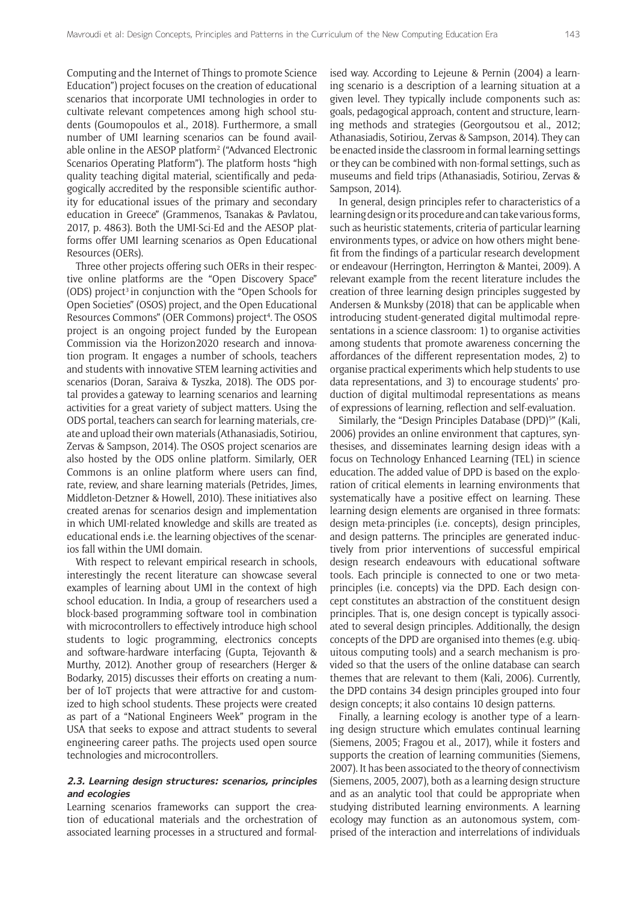Computing and the Internet of Things to promote Science Education") project focuses on the creation of educational scenarios that incorporate UMI technologies in order to cultivate relevant competences among high school students (Goumopoulos et al., 2018). Furthermore, a small number of UMI learning scenarios can be found available online in the AESOP platform<sup>2</sup> ("Advanced Electronic Scenarios Operating Platform"). The platform hosts "high quality teaching digital material, scientifically and pedagogically accredited by the responsible scientific authority for educational issues of the primary and secondary education in Greece" (Grammenos, Tsanakas & Pavlatou, 2017, p. 4863). Both the UMI-Sci-Ed and the AESOP platforms offer UMI learning scenarios as Open Educational Resources (OERs).

Three other projects offering such OERs in their respective online platforms are the "Open Discovery Space" (ODS) project<sup>3</sup> in conjunction with the "Open Schools for Open Societies" (OSOS) project, and the Open Educational Resources Commons" (OER Commons) project<sup>4</sup>. The OSOS project is an ongoing project funded by the European Commission via the Horizon2020 research and innovation program. It engages a number of schools, teachers and students with innovative STEM learning activities and scenarios (Doran, Saraiva & Tyszka, 2018). The ODS portal provides a gateway to learning scenarios and learning activities for a great variety of subject matters. Using the ODS portal, teachers can search for learning materials, create and upload their own materials (Athanasiadis, Sotiriou, Zervas & Sampson, 2014). The OSOS project scenarios are also hosted by the ODS online platform. Similarly, OER Commons is an online platform where users can find, rate, review, and share learning materials (Petrides, Jimes, Middleton-Detzner & Howell, 2010). These initiatives also created arenas for scenarios design and implementation in which UMI-related knowledge and skills are treated as educational ends i.e. the learning objectives of the scenarios fall within the UMI domain.

With respect to relevant empirical research in schools, interestingly the recent literature can showcase several examples of learning about UMI in the context of high school education. In India, a group of researchers used a block-based programming software tool in combination with microcontrollers to effectively introduce high school students to logic programming, electronics concepts and software-hardware interfacing (Gupta, Tejovanth & Murthy, 2012). Another group of researchers (Herger & Bodarky, 2015) discusses their efforts on creating a number of IoT projects that were attractive for and customized to high school students. These projects were created as part of a "National Engineers Week" program in the USA that seeks to expose and attract students to several engineering career paths. The projects used open source technologies and microcontrollers.

### **2.3. Learning design structures: scenarios, principles and ecologies**

Learning scenarios frameworks can support the creation of educational materials and the orchestration of associated learning processes in a structured and formalised way. According to Lejeune & Pernin (2004) a learning scenario is a description of a learning situation at a given level. They typically include components such as: goals, pedagogical approach, content and structure, learning methods and strategies (Georgoutsou et al., 2012; Athanasiadis, Sotiriou, Zervas & Sampson, 2014). They can be enacted inside the classroom in formal learning settings or they can be combined with non-formal settings, such as museums and field trips (Athanasiadis, Sotiriou, Zervas & Sampson, 2014).

In general, design principles refer to characteristics of a learning design or its procedure and can take various forms, such as heuristic statements, criteria of particular learning environments types, or advice on how others might benefit from the findings of a particular research development or endeavour (Herrington, Herrington & Mantei, 2009). A relevant example from the recent literature includes the creation of three learning design principles suggested by Andersen & Munksby (2018) that can be applicable when introducing student-generated digital multimodal representations in a science classroom: 1) to organise activities among students that promote awareness concerning the affordances of the different representation modes, 2) to organise practical experiments which help students to use data representations, and 3) to encourage students' production of digital multimodal representations as means of expressions of learning, reflection and self-evaluation.

Similarly, the "Design Principles Database (DPD)<sup>5</sup>" (Kali, 2006) provides an online environment that captures, synthesises, and disseminates learning design ideas with a focus on Technology Enhanced Learning (TEL) in science education. The added value of DPD is based on the exploration of critical elements in learning environments that systematically have a positive effect on learning. These learning design elements are organised in three formats: design meta-principles (i.e. concepts), design principles, and design patterns. The principles are generated inductively from prior interventions of successful empirical design research endeavours with educational software tools. Each principle is connected to one or two metaprinciples (i.e. concepts) via the DPD. Each design concept constitutes an abstraction of the constituent design principles. That is, one design concept is typically associated to several design principles. Additionally, the design concepts of the DPD are organised into themes (e.g. ubiquitous computing tools) and a search mechanism is provided so that the users of the online database can search themes that are relevant to them (Kali, 2006). Currently, the DPD contains 34 design principles grouped into four design concepts; it also contains 10 design patterns.

Finally, a learning ecology is another type of a learning design structure which emulates continual learning (Siemens, 2005; Fragou et al., 2017), while it fosters and supports the creation of learning communities (Siemens, 2007). It has been associated to the theory of connectivism (Siemens, 2005, 2007), both as a learning design structure and as an analytic tool that could be appropriate when studying distributed learning environments. A learning ecology may function as an autonomous system, comprised of the interaction and interrelations of individuals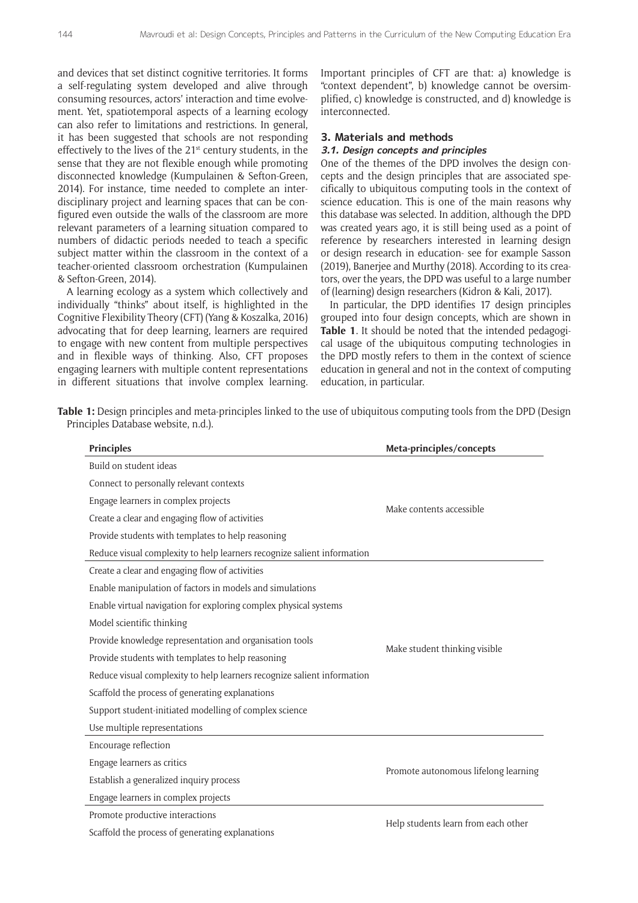and devices that set distinct cognitive territories. It forms a self-regulating system developed and alive through consuming resources, actors' interaction and time evolvement. Yet, spatiotemporal aspects of a learning ecology can also refer to limitations and restrictions. In general, it has been suggested that schools are not responding effectively to the lives of the 21st century students, in the sense that they are not flexible enough while promoting disconnected knowledge (Kumpulainen & Sefton-Green, 2014). For instance, time needed to complete an interdisciplinary project and learning spaces that can be configured even outside the walls of the classroom are more relevant parameters of a learning situation compared to numbers of didactic periods needed to teach a specific subject matter within the classroom in the context of a teacher-oriented classroom orchestration (Kumpulainen & Sefton-Green, 2014).

A learning ecology as a system which collectively and individually "thinks" about itself, is highlighted in the Cognitive Flexibility Theory (CFT) (Yang & Koszalka, 2016) advocating that for deep learning, learners are required to engage with new content from multiple perspectives and in flexible ways of thinking. Also, CFT proposes engaging learners with multiple content representations in different situations that involve complex learning.

Important principles of CFT are that: a) knowledge is "context dependent", b) knowledge cannot be oversimplified, c) knowledge is constructed, and d) knowledge is interconnected.

#### **3. Materials and methods**

#### **3.1. Design concepts and principles**

One of the themes of the DPD involves the design concepts and the design principles that are associated specifically to ubiquitous computing tools in the context of science education. This is one of the main reasons why this database was selected. In addition, although the DPD was created years ago, it is still being used as a point of reference by researchers interested in learning design or design research in education- see for example Sasson (2019), Banerjee and Murthy (2018). According to its creators, over the years, the DPD was useful to a large number of (learning) design researchers (Kidron & Kali, 2017).

In particular, the DPD identifies 17 design principles grouped into four design concepts, which are shown in **Table 1**. It should be noted that the intended pedagogical usage of the ubiquitous computing technologies in the DPD mostly refers to them in the context of science education in general and not in the context of computing education, in particular.

**Table 1:** Design principles and meta-principles linked to the use of ubiquitous computing tools from the DPD (Design Principles Database website, n.d.).

| <b>Principles</b>                                                       | Meta-principles/concepts             |  |  |  |
|-------------------------------------------------------------------------|--------------------------------------|--|--|--|
| Build on student ideas                                                  |                                      |  |  |  |
| Connect to personally relevant contexts                                 |                                      |  |  |  |
| Engage learners in complex projects                                     | Make contents accessible             |  |  |  |
| Create a clear and engaging flow of activities                          |                                      |  |  |  |
| Provide students with templates to help reasoning                       |                                      |  |  |  |
| Reduce visual complexity to help learners recognize salient information |                                      |  |  |  |
| Create a clear and engaging flow of activities                          |                                      |  |  |  |
| Enable manipulation of factors in models and simulations                |                                      |  |  |  |
| Enable virtual navigation for exploring complex physical systems        |                                      |  |  |  |
| Model scientific thinking                                               |                                      |  |  |  |
| Provide knowledge representation and organisation tools                 |                                      |  |  |  |
| Provide students with templates to help reasoning                       | Make student thinking visible        |  |  |  |
| Reduce visual complexity to help learners recognize salient information |                                      |  |  |  |
| Scaffold the process of generating explanations                         |                                      |  |  |  |
| Support student-initiated modelling of complex science                  |                                      |  |  |  |
| Use multiple representations                                            |                                      |  |  |  |
| Encourage reflection                                                    |                                      |  |  |  |
| Engage learners as critics                                              | Promote autonomous lifelong learning |  |  |  |
| Establish a generalized inquiry process                                 |                                      |  |  |  |
| Engage learners in complex projects                                     |                                      |  |  |  |
| Promote productive interactions                                         | Help students learn from each other  |  |  |  |
| Scaffold the process of generating explanations                         |                                      |  |  |  |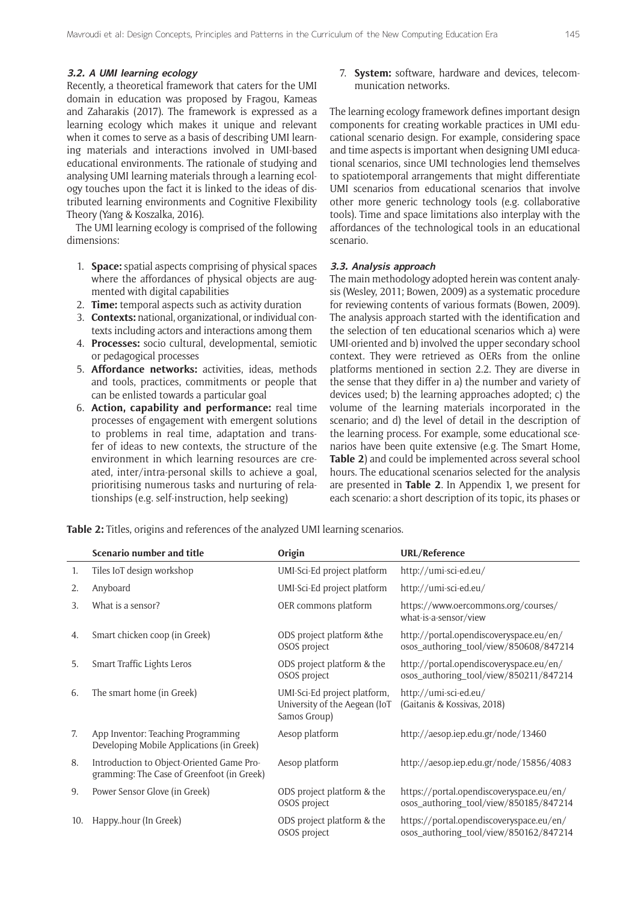### **3.2. A UMI learning ecology**

Recently, a theoretical framework that caters for the UMI domain in education was proposed by Fragou, Kameas and Zaharakis (2017). The framework is expressed as a learning ecology which makes it unique and relevant when it comes to serve as a basis of describing UMI learning materials and interactions involved in UMI-based educational environments. The rationale of studying and analysing UMI learning materials through a learning ecology touches upon the fact it is linked to the ideas of distributed learning environments and Cognitive Flexibility Theory (Yang & Koszalka, 2016).

The UMI learning ecology is comprised of the following dimensions:

- 1. **Space:** spatial aspects comprising of physical spaces where the affordances of physical objects are augmented with digital capabilities
- 2. **Time:** temporal aspects such as activity duration
- 3. **Contexts:** national, organizational, or individual contexts including actors and interactions among them
- 4. **Processes:** socio cultural, developmental, semiotic or pedagogical processes
- 5. **Affordance networks:** activities, ideas, methods and tools, practices, commitments or people that can be enlisted towards a particular goal
- 6. **Action, capability and performance:** real time processes of engagement with emergent solutions to problems in real time, adaptation and transfer of ideas to new contexts, the structure of the environment in which learning resources are created, inter/intra-personal skills to achieve a goal, prioritising numerous tasks and nurturing of relationships (e.g. self-instruction, help seeking)

7. **System:** software, hardware and devices, telecommunication networks.

The learning ecology framework defines important design components for creating workable practices in UMI educational scenario design. For example, considering space and time aspects is important when designing UMI educational scenarios, since UMI technologies lend themselves to spatiotemporal arrangements that might differentiate UMI scenarios from educational scenarios that involve other more generic technology tools (e.g. collaborative tools). Time and space limitations also interplay with the affordances of the technological tools in an educational scenario.

#### **3.3. Analysis approach**

The main methodology adopted herein was content analysis (Wesley, 2011; Bowen, 2009) as a systematic procedure for reviewing contents of various formats (Bowen, 2009). The analysis approach started with the identification and the selection of ten educational scenarios which a) were UMI-oriented and b) involved the upper secondary school context. They were retrieved as OERs from the online platforms mentioned in section 2.2. They are diverse in the sense that they differ in a) the number and variety of devices used; b) the learning approaches adopted; c) the volume of the learning materials incorporated in the scenario; and d) the level of detail in the description of the learning process. For example, some educational scenarios have been quite extensive (e.g. The Smart Home, **Table 2**) and could be implemented across several school hours. The educational scenarios selected for the analysis are presented in **Table 2**. In Appendix 1, we present for each scenario: a short description of its topic, its phases or

**Table 2:** Titles, origins and references of the analyzed UMI learning scenarios.

|     | Scenario number and title                                                               | Origin                                                                        | <b>URL/Reference</b>                                                               |  |
|-----|-----------------------------------------------------------------------------------------|-------------------------------------------------------------------------------|------------------------------------------------------------------------------------|--|
| 1.  | Tiles IoT design workshop                                                               | UMI-Sci-Ed project platform                                                   | http://umi-sci-ed.eu/                                                              |  |
| 2.  | Anyboard                                                                                | UMI-Sci-Ed project platform                                                   | http://umi-sci-ed.eu/                                                              |  |
| 3.  | What is a sensor?                                                                       | OER commons platform                                                          | https://www.oercommons.org/courses/<br>what-is-a-sensor/view                       |  |
| 4.  | Smart chicken coop (in Greek)                                                           | ODS project platform & the<br>OSOS project                                    | http://portal.opendiscoveryspace.eu/en/<br>osos_authoring_tool/view/850608/847214  |  |
| 5.  | Smart Traffic Lights Leros                                                              | ODS project platform & the<br>OSOS project                                    | http://portal.opendiscoveryspace.eu/en/<br>osos_authoring_tool/view/850211/847214  |  |
| 6.  | The smart home (in Greek)                                                               | UMI-Sci-Ed project platform,<br>University of the Aegean (IoT<br>Samos Group) | http://umi-sci-ed.eu/<br>(Gaitanis & Kossivas, 2018)                               |  |
| 7.  | App Inventor: Teaching Programming<br>Developing Mobile Applications (in Greek)         | Aesop platform                                                                | http://aesop.iep.edu.gr/node/13460                                                 |  |
| 8.  | Introduction to Object-Oriented Game Pro-<br>gramming: The Case of Greenfoot (in Greek) | Aesop platform                                                                | http://aesop.iep.edu.gr/node/15856/4083                                            |  |
| 9.  | Power Sensor Glove (in Greek)                                                           | ODS project platform & the<br>OSOS project                                    | https://portal.opendiscoveryspace.eu/en/<br>osos_authoring_tool/view/850185/847214 |  |
| 10. | Happyhour (In Greek)                                                                    | ODS project platform & the<br>OSOS project                                    | https://portal.opendiscoveryspace.eu/en/<br>osos_authoring_tool/view/850162/847214 |  |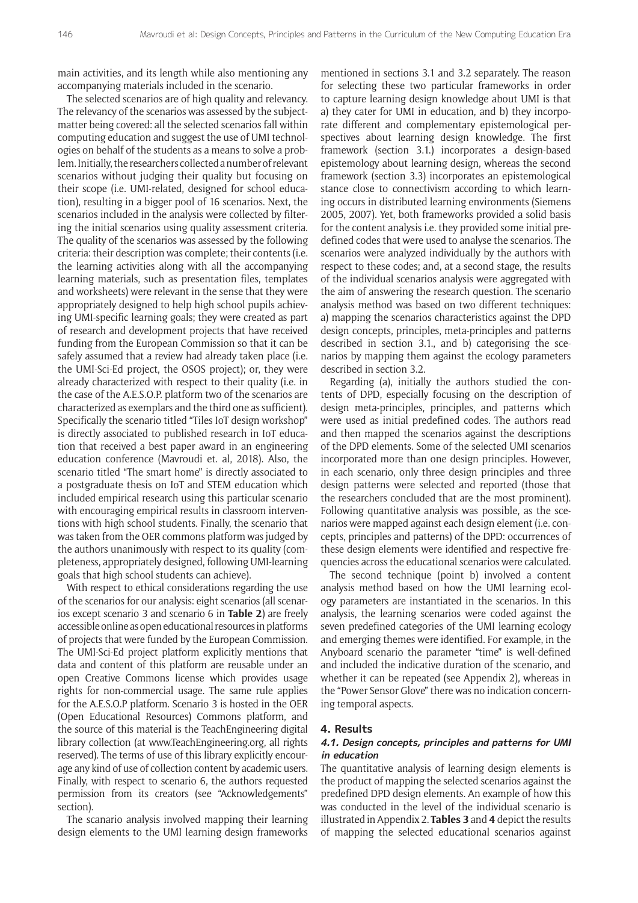main activities, and its length while also mentioning any accompanying materials included in the scenario.

The selected scenarios are of high quality and relevancy. The relevancy of the scenarios was assessed by the subjectmatter being covered: all the selected scenarios fall within computing education and suggest the use of UMI technologies on behalf of the students as a means to solve a problem. Initially, the researchers collected a number of relevant scenarios without judging their quality but focusing on their scope (i.e. UMI-related, designed for school education), resulting in a bigger pool of 16 scenarios. Next, the scenarios included in the analysis were collected by filtering the initial scenarios using quality assessment criteria. The quality of the scenarios was assessed by the following criteria: their description was complete; their contents (i.e. the learning activities along with all the accompanying learning materials, such as presentation files, templates and worksheets) were relevant in the sense that they were appropriately designed to help high school pupils achieving UMI-specific learning goals; they were created as part of research and development projects that have received funding from the European Commission so that it can be safely assumed that a review had already taken place (i.e. the UMI-Sci-Ed project, the OSOS project); or, they were already characterized with respect to their quality (i.e. in the case of the A.E.S.O.P. platform two of the scenarios are characterized as exemplars and the third one as sufficient). Specifically the scenario titled "Tiles IoT design workshop" is directly associated to published research in IoT education that received a best paper award in an engineering education conference (Mavroudi et. al, 2018). Also, the scenario titled "The smart home" is directly associated to a postgraduate thesis on IoT and STEM education which included empirical research using this particular scenario with encouraging empirical results in classroom interventions with high school students. Finally, the scenario that was taken from the OER commons platform was judged by the authors unanimously with respect to its quality (completeness, appropriately designed, following UMI-learning goals that high school students can achieve).

With respect to ethical considerations regarding the use of the scenarios for our analysis: eight scenarios (all scenarios except scenario 3 and scenario 6 in **Table 2**) are freely accessible online as open educational resources in platforms of projects that were funded by the European Commission. The UMI-Sci-Ed project platform explicitly mentions that data and content of this platform are reusable under an open Creative Commons license which provides usage rights for non-commercial usage. The same rule applies for the A.E.S.O.P platform. Scenario 3 is hosted in the OER (Open Educational Resources) Commons platform, and the source of this material is the TeachEngineering digital library collection (at [www.TeachEngineering.org](http://www.TeachEngineering.org), all rights reserved). The terms of use of this library explicitly encourage any kind of use of collection content by academic users. Finally, with respect to scenario 6, the authors requested permission from its creators (see "Acknowledgements" section).

The scanario analysis involved mapping their learning design elements to the UMI learning design frameworks

mentioned in sections 3.1 and 3.2 separately. The reason for selecting these two particular frameworks in order to capture learning design knowledge about UMI is that a) they cater for UMI in education, and b) they incorporate different and complementary epistemological perspectives about learning design knowledge. The first framework (section 3.1.) incorporates a design-based epistemology about learning design, whereas the second framework (section 3.3) incorporates an epistemological stance close to connectivism according to which learning occurs in distributed learning environments (Siemens 2005, 2007). Yet, both frameworks provided a solid basis for the content analysis i.e. they provided some initial predefined codes that were used to analyse the scenarios. The scenarios were analyzed individually by the authors with respect to these codes; and, at a second stage, the results of the individual scenarios analysis were aggregated with the aim of answering the research question. The scenario analysis method was based on two different techniques: a) mapping the scenarios characteristics against the DPD design concepts, principles, meta-principles and patterns described in section 3.1., and b) categorising the scenarios by mapping them against the ecology parameters described in section 3.2.

Regarding (a), initially the authors studied the contents of DPD, especially focusing on the description of design meta-principles, principles, and patterns which were used as initial predefined codes. The authors read and then mapped the scenarios against the descriptions of the DPD elements. Some of the selected UMI scenarios incorporated more than one design principles. However, in each scenario, only three design principles and three design patterns were selected and reported (those that the researchers concluded that are the most prominent). Following quantitative analysis was possible, as the scenarios were mapped against each design element (i.e. concepts, principles and patterns) of the DPD: occurrences of these design elements were identified and respective frequencies across the educational scenarios were calculated.

The second technique (point b) involved a content analysis method based on how the UMI learning ecology parameters are instantiated in the scenarios. In this analysis, the learning scenarios were coded against the seven predefined categories of the UMI learning ecology and emerging themes were identified. For example, in the Anyboard scenario the parameter "time" is well-defined and included the indicative duration of the scenario, and whether it can be repeated (see Appendix 2), whereas in the "Power Sensor Glove" there was no indication concerning temporal aspects.

#### **4. Results**

# **4.1. Design concepts, principles and patterns for UMI in education**

The quantitative analysis of learning design elements is the product of mapping the selected scenarios against the predefined DPD design elements. An example of how this was conducted in the level of the individual scenario is illustrated in Appendix 2. **Tables 3** and **4** depict the results of mapping the selected educational scenarios against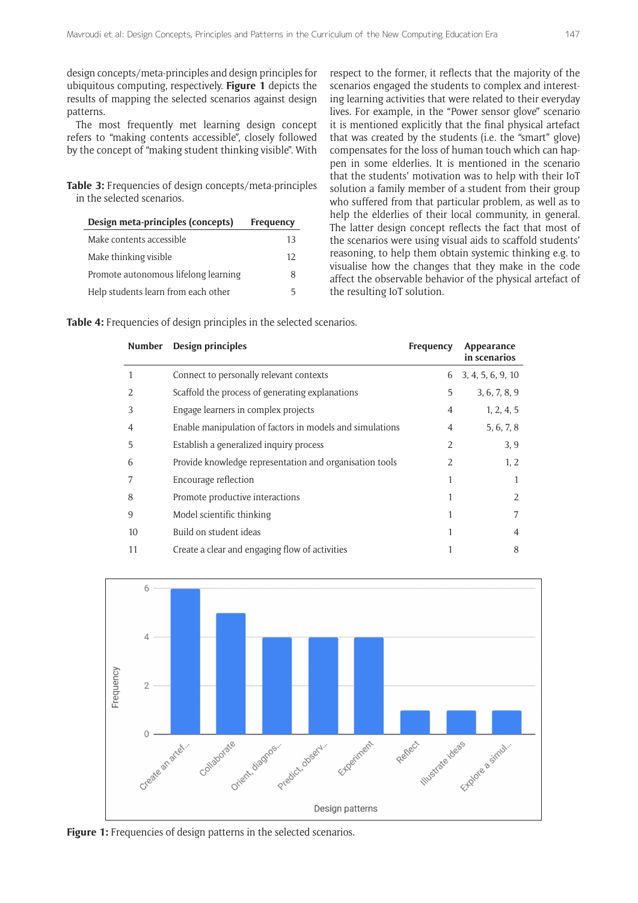design concepts/meta-principles and design principles for ubiquitous computing, respectively. **Figure 1** depicts the results of mapping the selected scenarios against design patterns.

The most frequently met learning design concept refers to "making contents accessible", closely followed by the concept of "making student thinking visible". With

**Table 3:** Frequencies of design concepts/meta-principles in the selected scenarios.

| Design meta-principles (concepts)    | Frequency |  |
|--------------------------------------|-----------|--|
| Make contents accessible             | 13        |  |
| Make thinking visible                | 12        |  |
| Promote autonomous lifelong learning | 8         |  |
| Help students learn from each other  | 5         |  |

respect to the former, it reflects that the majority of the scenarios engaged the students to complex and interesting learning activities that were related to their everyday lives. For example, in the "Power sensor glove" scenario it is mentioned explicitly that the final physical artefact that was created by the students (i.e. the "smart" glove) compensates for the loss of human touch which can happen in some elderlies. It is mentioned in the scenario that the students' motivation was to help with their IoT solution a family member of a student from their group who suffered from that particular problem, as well as to help the elderlies of their local community, in general. The latter design concept reflects the fact that most of the scenarios were using visual aids to scaffold students' reasoning, to help them obtain systemic thinking e.g. to visualise how the changes that they make in the code affect the observable behavior of the physical artefact of the resulting IoT solution.

**Table 4:** Frequencies of design principles in the selected scenarios.

| <b>Number</b> | Design principles                                        | Frequency      | Appearance<br>in scenarios |
|---------------|----------------------------------------------------------|----------------|----------------------------|
|               | Connect to personally relevant contexts                  | 6              | 3, 4, 5, 6, 9, 10          |
|               | Scaffold the process of generating explanations          | 5              | 3, 6, 7, 8, 9              |
| 3             | Engage learners in complex projects                      | $\overline{4}$ | 1, 2, 4, 5                 |
| 4             | Enable manipulation of factors in models and simulations | 4              | 5, 6, 7, 8                 |
| 5             | Establish a generalized inquiry process                  | 2              | 3, 9                       |
| 6             | Provide knowledge representation and organisation tools  | 2              | 1, 2                       |
|               | Encourage reflection                                     |                |                            |
| 8             | Promote productive interactions                          |                | $\mathcal{L}$              |
| 9             | Model scientific thinking                                |                | 7                          |
| 10            | Build on student ideas                                   |                | $\overline{4}$             |
| 11            | Create a clear and engaging flow of activities           |                | 8                          |



Figure 1: Frequencies of design patterns in the selected scenarios.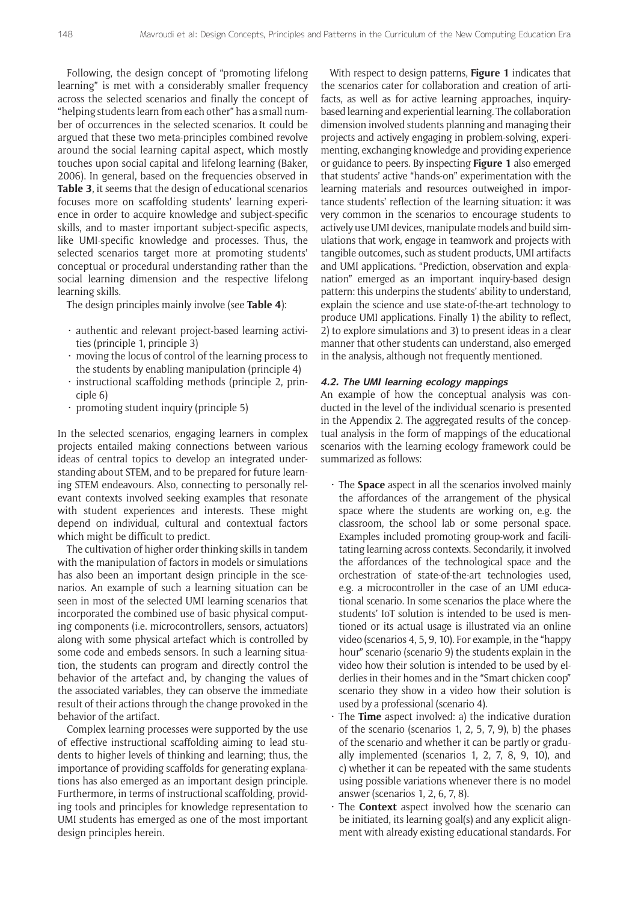Following, the design concept of "promoting lifelong learning" is met with a considerably smaller frequency across the selected scenarios and finally the concept of "helping students learn from each other" has a small number of occurrences in the selected scenarios. It could be argued that these two meta-principles combined revolve around the social learning capital aspect, which mostly touches upon social capital and lifelong learning (Baker, 2006). In general, based on the frequencies observed in **Table 3**, it seems that the design of educational scenarios focuses more on scaffolding students' learning experience in order to acquire knowledge and subject-specific skills, and to master important subject-specific aspects, like UMI-specific knowledge and processes. Thus, the selected scenarios target more at promoting students' conceptual or procedural understanding rather than the social learning dimension and the respective lifelong learning skills.

The design principles mainly involve (see **Table 4**):

- authentic and relevant project-based learning activities (principle 1, principle 3)
- moving the locus of control of the learning process to the students by enabling manipulation (principle 4)
- instructional scaffolding methods (principle 2, principle 6)
- $\cdot$  promoting student inquiry (principle 5)

In the selected scenarios, engaging learners in complex projects entailed making connections between various ideas of central topics to develop an integrated understanding about STEM, and to be prepared for future learning STEM endeavours. Also, connecting to personally relevant contexts involved seeking examples that resonate with student experiences and interests. These might depend on individual, cultural and contextual factors which might be difficult to predict.

The cultivation of higher order thinking skills in tandem with the manipulation of factors in models or simulations has also been an important design principle in the scenarios. An example of such a learning situation can be seen in most of the selected UMI learning scenarios that incorporated the combined use of basic physical computing components (i.e. microcontrollers, sensors, actuators) along with some physical artefact which is controlled by some code and embeds sensors. In such a learning situation, the students can program and directly control the behavior of the artefact and, by changing the values of the associated variables, they can observe the immediate result of their actions through the change provoked in the behavior of the artifact.

Complex learning processes were supported by the use of effective instructional scaffolding aiming to lead students to higher levels of thinking and learning; thus, the importance of providing scaffolds for generating explanations has also emerged as an important design principle. Furthermore, in terms of instructional scaffolding, providing tools and principles for knowledge representation to UMI students has emerged as one of the most important design principles herein.

With respect to design patterns, **Figure 1** indicates that the scenarios cater for collaboration and creation of artifacts, as well as for active learning approaches, inquirybased learning and experiential learning. The collaboration dimension involved students planning and managing their projects and actively engaging in problem-solving, experimenting, exchanging knowledge and providing experience or guidance to peers. By inspecting **Figure 1** also emerged that students' active "hands-on" experimentation with the learning materials and resources outweighed in importance students' reflection of the learning situation: it was very common in the scenarios to encourage students to actively use UMI devices, manipulate models and build simulations that work, engage in teamwork and projects with tangible outcomes, such as student products, UMI artifacts and UMI applications. "Prediction, observation and explanation" emerged as an important inquiry-based design pattern: this underpins the students' ability to understand, explain the science and use state-of-the-art technology to produce UMI applications. Finally 1) the ability to reflect, 2) to explore simulations and 3) to present ideas in a clear manner that other students can understand, also emerged in the analysis, although not frequently mentioned.

#### **4.2. The UMI learning ecology mappings**

An example of how the conceptual analysis was conducted in the level of the individual scenario is presented in the Appendix 2. The aggregated results of the conceptual analysis in the form of mappings of the educational scenarios with the learning ecology framework could be summarized as follows:

- The **Space** aspect in all the scenarios involved mainly the affordances of the arrangement of the physical space where the students are working on, e.g. the classroom, the school lab or some personal space. Examples included promoting group-work and facilitating learning across contexts. Secondarily, it involved the affordances of the technological space and the orchestration of state-of-the-art technologies used, e.g. a microcontroller in the case of an UMI educational scenario. In some scenarios the place where the students' IoT solution is intended to be used is mentioned or its actual usage is illustrated via an online video (scenarios 4, 5, 9, 10). For example, in the "happy hour" scenario (scenario 9) the students explain in the video how their solution is intended to be used by elderlies in their homes and in the "Smart chicken coop" scenario they show in a video how their solution is used by a professional (scenario 4).
- The **Time** aspect involved: a) the indicative duration of the scenario (scenarios 1, 2, 5, 7, 9), b) the phases of the scenario and whether it can be partly or gradually implemented (scenarios 1, 2, 7, 8, 9, 10), and c) whether it can be repeated with the same students using possible variations whenever there is no model answer (scenarios 1, 2, 6, 7, 8).
- The **Context** aspect involved how the scenario can be initiated, its learning goal(s) and any explicit alignment with already existing educational standards. For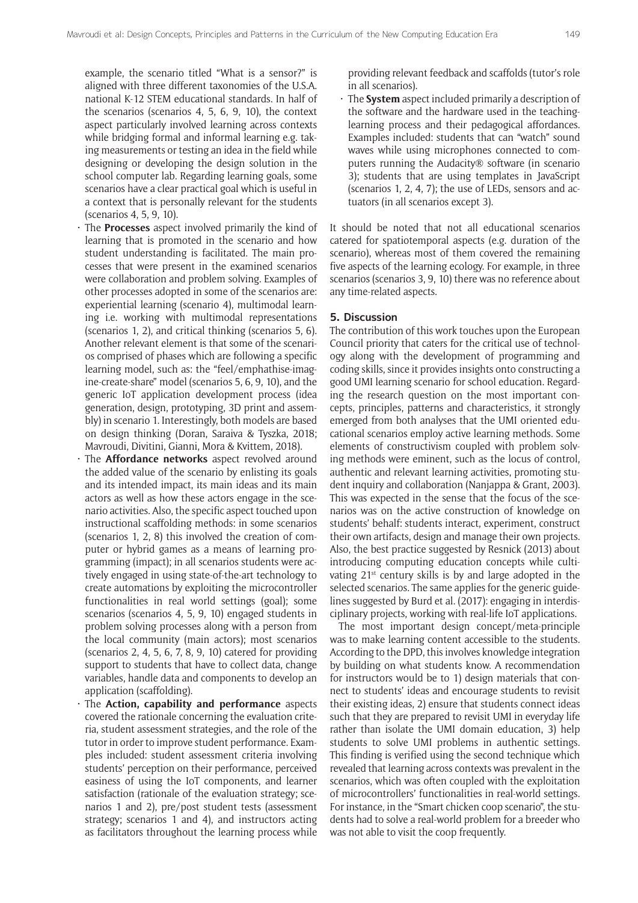example, the scenario titled "What is a sensor?" is aligned with three different taxonomies of the U.S.A. national K-12 STEM educational standards. In half of the scenarios (scenarios 4, 5, 6, 9, 10), the context aspect particularly involved learning across contexts while bridging formal and informal learning e.g. taking measurements or testing an idea in the field while designing or developing the design solution in the school computer lab. Regarding learning goals, some scenarios have a clear practical goal which is useful in a context that is personally relevant for the students (scenarios 4, 5, 9, 10).

- The **Processes** aspect involved primarily the kind of learning that is promoted in the scenario and how student understanding is facilitated. The main processes that were present in the examined scenarios were collaboration and problem solving. Examples of other processes adopted in some of the scenarios are: experiential learning (scenario 4), multimodal learning i.e. working with multimodal representations (scenarios 1, 2), and critical thinking (scenarios 5, 6). Another relevant element is that some of the scenarios comprised of phases which are following a specific learning model, such as: the "feel/emphathise-imagine-create-share" model (scenarios 5, 6, 9, 10), and the generic IoT application development process (idea generation, design, prototyping, 3D print and assembly) in scenario 1. Interestingly, both models are based on design thinking (Doran, Saraiva & Tyszka, 2018; Mavroudi, Divitini, Gianni, Mora & Kvittem, 2018).
- The **Affordance networks** aspect revolved around the added value of the scenario by enlisting its goals and its intended impact, its main ideas and its main actors as well as how these actors engage in the scenario activities. Also, the specific aspect touched upon instructional scaffolding methods: in some scenarios (scenarios 1, 2, 8) this involved the creation of computer or hybrid games as a means of learning programming (impact); in all scenarios students were actively engaged in using state-of-the-art technology to create automations by exploiting the microcontroller functionalities in real world settings (goal); some scenarios (scenarios 4, 5, 9, 10) engaged students in problem solving processes along with a person from the local community (main actors); most scenarios (scenarios 2, 4, 5, 6, 7, 8, 9, 10) catered for providing support to students that have to collect data, change variables, handle data and components to develop an application (scaffolding).
- The **Action, capability and performance** aspects covered the rationale concerning the evaluation criteria, student assessment strategies, and the role of the tutor in order to improve student performance. Examples included: student assessment criteria involving students' perception on their performance, perceived easiness of using the IoT components, and learner satisfaction (rationale of the evaluation strategy; scenarios 1 and 2), pre/post student tests (assessment strategy; scenarios 1 and 4), and instructors acting as facilitators throughout the learning process while

providing relevant feedback and scaffolds (tutor's role in all scenarios).

The **System** aspect included primarily a description of the software and the hardware used in the teachinglearning process and their pedagogical affordances. Examples included: students that can "watch" sound waves while using microphones connected to computers running the Audacity® software (in scenario 3); students that are using templates in JavaScript (scenarios 1, 2, 4, 7); the use of LEDs, sensors and actuators (in all scenarios except 3).

It should be noted that not all educational scenarios catered for spatiotemporal aspects (e.g. duration of the scenario), whereas most of them covered the remaining five aspects of the learning ecology. For example, in three scenarios (scenarios 3, 9, 10) there was no reference about any time-related aspects.

#### **5. Discussion**

The contribution of this work touches upon the European Council priority that caters for the critical use of technology along with the development of programming and coding skills, since it provides insights onto constructing a good UMI learning scenario for school education. Regarding the research question on the most important concepts, principles, patterns and characteristics, it strongly emerged from both analyses that the UMI oriented educational scenarios employ active learning methods. Some elements of constructivism coupled with problem solving methods were eminent, such as the locus of control, authentic and relevant learning activities, promoting student inquiry and collaboration (Nanjappa & Grant, 2003). This was expected in the sense that the focus of the scenarios was on the active construction of knowledge on students' behalf: students interact, experiment, construct their own artifacts, design and manage their own projects. Also, the best practice suggested by Resnick (2013) about introducing computing education concepts while cultivating  $21^{st}$  century skills is by and large adopted in the selected scenarios. The same applies for the generic guidelines suggested by Burd et al. (2017): engaging in interdisciplinary projects, working with real-life IoT applications.

The most important design concept/meta-principle was to make learning content accessible to the students. According to the DPD, this involves knowledge integration by building on what students know. A recommendation for instructors would be to 1) design materials that connect to students' ideas and encourage students to revisit their existing ideas, 2) ensure that students connect ideas such that they are prepared to revisit UMI in everyday life rather than isolate the UMI domain education, 3) help students to solve UMI problems in authentic settings. This finding is verified using the second technique which revealed that learning across contexts was prevalent in the scenarios, which was often coupled with the exploitation of microcontrollers' functionalities in real-world settings. For instance, in the "Smart chicken coop scenario", the students had to solve a real-world problem for a breeder who was not able to visit the coop frequently.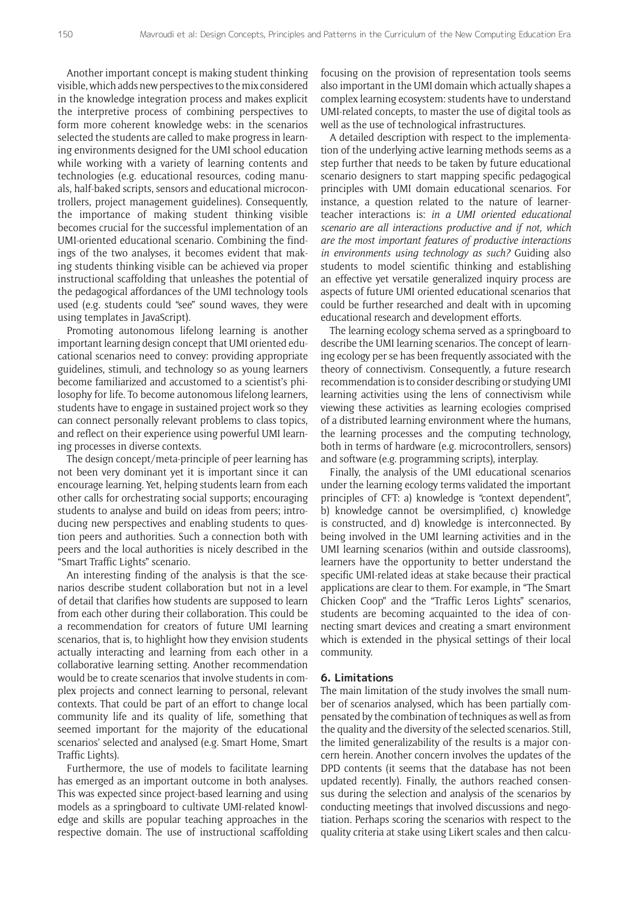Another important concept is making student thinking visible, which adds new perspectives to the mix considered in the knowledge integration process and makes explicit the interpretive process of combining perspectives to form more coherent knowledge webs: in the scenarios selected the students are called to make progress in learning environments designed for the UMI school education while working with a variety of learning contents and technologies (e.g. educational resources, coding manuals, half-baked scripts, sensors and educational microcontrollers, project management guidelines). Consequently, the importance of making student thinking visible becomes crucial for the successful implementation of an UMI-oriented educational scenario. Combining the findings of the two analyses, it becomes evident that making students thinking visible can be achieved via proper instructional scaffolding that unleashes the potential of the pedagogical affordances of the UMI technology tools used (e.g. students could "see" sound waves, they were using templates in JavaScript).

Promoting autonomous lifelong learning is another important learning design concept that UMI oriented educational scenarios need to convey: providing appropriate guidelines, stimuli, and technology so as young learners become familiarized and accustomed to a scientist's philosophy for life. To become autonomous lifelong learners, students have to engage in sustained project work so they can connect personally relevant problems to class topics, and reflect on their experience using powerful UMI learning processes in diverse contexts.

The design concept/meta-principle of peer learning has not been very dominant yet it is important since it can encourage learning. Yet, helping students learn from each other calls for orchestrating social supports; encouraging students to analyse and build on ideas from peers; introducing new perspectives and enabling students to question peers and authorities. Such a connection both with peers and the local authorities is nicely described in the "Smart Traffic Lights" scenario.

An interesting finding of the analysis is that the scenarios describe student collaboration but not in a level of detail that clarifies how students are supposed to learn from each other during their collaboration. This could be a recommendation for creators of future UMI learning scenarios, that is, to highlight how they envision students actually interacting and learning from each other in a collaborative learning setting. Another recommendation would be to create scenarios that involve students in complex projects and connect learning to personal, relevant contexts. That could be part of an effort to change local community life and its quality of life, something that seemed important for the majority of the educational scenarios' selected and analysed (e.g. Smart Home, Smart Traffic Lights).

Furthermore, the use of models to facilitate learning has emerged as an important outcome in both analyses. This was expected since project-based learning and using models as a springboard to cultivate UMI-related knowledge and skills are popular teaching approaches in the respective domain. The use of instructional scaffolding

focusing on the provision of representation tools seems also important in the UMI domain which actually shapes a complex learning ecosystem: students have to understand UMI-related concepts, to master the use of digital tools as well as the use of technological infrastructures.

A detailed description with respect to the implementation of the underlying active learning methods seems as a step further that needs to be taken by future educational scenario designers to start mapping specific pedagogical principles with UMI domain educational scenarios. For instance, a question related to the nature of learnerteacher interactions is: *in a UMI oriented educational scenario are all interactions productive and if not, which are the most important features of productive interactions in environments using technology as such?* Guiding also students to model scientific thinking and establishing an effective yet versatile generalized inquiry process are aspects of future UMI oriented educational scenarios that could be further researched and dealt with in upcoming educational research and development efforts.

The learning ecology schema served as a springboard to describe the UMI learning scenarios. The concept of learning ecology per se has been frequently associated with the theory of connectivism. Consequently, a future research recommendation is to consider describing or studying UMI learning activities using the lens of connectivism while viewing these activities as learning ecologies comprised of a distributed learning environment where the humans, the learning processes and the computing technology, both in terms of hardware (e.g. microcontrollers, sensors) and software (e.g. programming scripts), interplay.

Finally, the analysis of the UMI educational scenarios under the learning ecology terms validated the important principles of CFT: a) knowledge is "context dependent", b) knowledge cannot be oversimplified, c) knowledge is constructed, and d) knowledge is interconnected. By being involved in the UMI learning activities and in the UMI learning scenarios (within and outside classrooms), learners have the opportunity to better understand the specific UMI-related ideas at stake because their practical applications are clear to them. For example, in "The Smart Chicken Coop" and the "Traffic Leros Lights" scenarios, students are becoming acquainted to the idea of connecting smart devices and creating a smart environment which is extended in the physical settings of their local community.

# **6. Limitations**

The main limitation of the study involves the small number of scenarios analysed, which has been partially compensated by the combination of techniques as well as from the quality and the diversity of the selected scenarios. Still, the limited generalizability of the results is a major concern herein. Another concern involves the updates of the DPD contents (it seems that the database has not been updated recently). Finally, the authors reached consensus during the selection and analysis of the scenarios by conducting meetings that involved discussions and negotiation. Perhaps scoring the scenarios with respect to the quality criteria at stake using Likert scales and then calcu-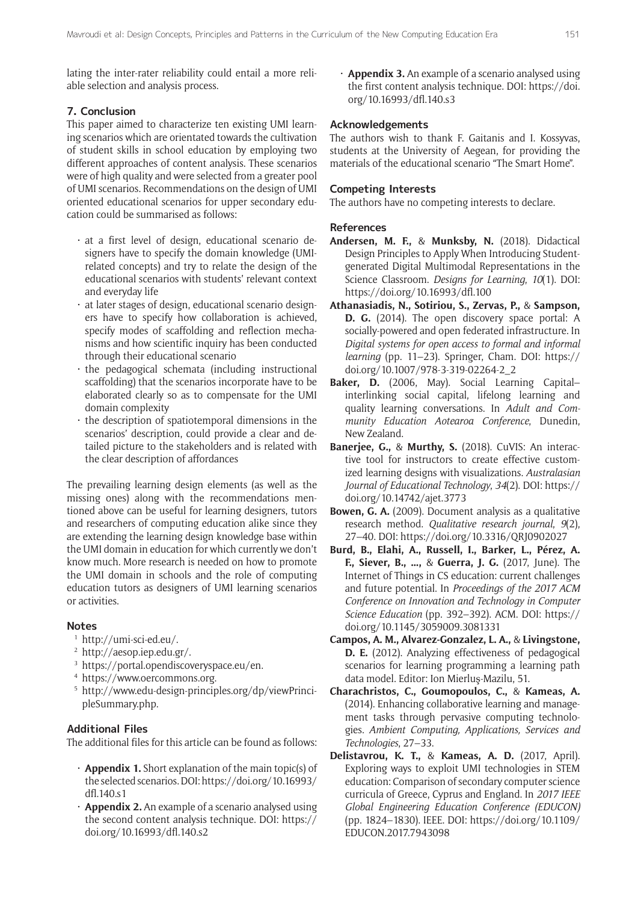lating the inter-rater reliability could entail a more reliable selection and analysis process.

# **7. Conclusion**

This paper aimed to characterize ten existing UMI learning scenarios which are orientated towards the cultivation of student skills in school education by employing two different approaches of content analysis. These scenarios were of high quality and were selected from a greater pool of UMI scenarios. Recommendations on the design of UMI oriented educational scenarios for upper secondary education could be summarised as follows:

- $\cdot$  at a first level of design, educational scenario designers have to specify the domain knowledge (UMIrelated concepts) and try to relate the design of the educational scenarios with students' relevant context and everyday life
- at later stages of design, educational scenario designers have to specify how collaboration is achieved, specify modes of scaffolding and reflection mechanisms and how scientific inquiry has been conducted through their educational scenario
- · the pedagogical schemata (including instructional scaffolding) that the scenarios incorporate have to be elaborated clearly so as to compensate for the UMI domain complexity
- the description of spatiotemporal dimensions in the scenarios' description, could provide a clear and detailed picture to the stakeholders and is related with the clear description of affordances

The prevailing learning design elements (as well as the missing ones) along with the recommendations mentioned above can be useful for learning designers, tutors and researchers of computing education alike since they are extending the learning design knowledge base within the UMI domain in education for which currently we don't know much. More research is needed on how to promote the UMI domain in schools and the role of computing education tutors as designers of UMI learning scenarios or activities.

# **Notes**

- <sup>1</sup> <http://umi-sci-ed.eu/>.
- <sup>2</sup> <http://aesop.iep.edu.gr/>.
- <sup>3</sup> [https://portal.opendiscoveryspace.eu/en.](https://portal.opendiscoveryspace.eu/en)
- <sup>4</sup> <https://www.oercommons.org>.
- <sup>5</sup> [http://www.edu-design-principles.org/dp/viewPrinci](http://www.edu-design-principles.org/dp/viewPrincipleSummary.php)[pleSummary.php.](http://www.edu-design-principles.org/dp/viewPrincipleSummary.php)

# **Additional Files**

The additional files for this article can be found as follows:

- • **Appendix 1.** Short explanation of the main topic(s) of the selected scenarios. DOI: [https://doi.org/10.16993/](https://doi.org/10.16993/dfl.140.s1) [dfl.140.s1](https://doi.org/10.16993/dfl.140.s1)
- **Appendix 2.** An example of a scenario analysed using the second content analysis technique. DOI: [https://](https://doi.org/10.16993/dfl.140.s2) [doi.org/10.16993/dfl.140.s2](https://doi.org/10.16993/dfl.140.s2)

• **Appendix 3.** An example of a scenario analysed using the first content analysis technique. DOI: [https://doi.](https://doi.org/10.16993/dfl.140.s3) [org/10.16993/dfl.140.s3](https://doi.org/10.16993/dfl.140.s3)

# **Acknowledgements**

The authors wish to thank F. Gaitanis and I. Kossyvas, students at the University of Aegean, for providing the materials of the educational scenario "The Smart Home".

## **Competing Interests**

The authors have no competing interests to declare.

# **References**

- **Andersen, M. F.,** & **Munksby, N.** (2018). Didactical Design Principles to Apply When Introducing Studentgenerated Digital Multimodal Representations in the Science Classroom. *Designs for Learning*, *10*(1). DOI: <https://doi.org/10.16993/dfl.100>
- **Athanasiadis, N., Sotiriou, S., Zervas, P.,** & **Sampson, D. G.** (2014). The open discovery space portal: A socially-powered and open federated infrastructure. In *Digital systems for open access to formal and informal learning* (pp. 11–23). Springer, Cham. DOI: [https://](https://doi.org/10.1007/978-3-319-02264-2_2) [doi.org/10.1007/978-3-319-02264-2\\_2](https://doi.org/10.1007/978-3-319-02264-2_2)
- **Baker, D.** (2006, May). Social Learning Capital– interlinking social capital, lifelong learning and quality learning conversations. In *Adult and Community Education Aotearoa Conference*, Dunedin, New Zealand.
- **Banerjee, G.,** & **Murthy, S.** (2018). CuVIS: An interactive tool for instructors to create effective customized learning designs with visualizations. *Australasian Journal of Educational Technology*, *34*(2). DOI: [https://](https://doi.org/10.14742/ajet.3773) [doi.org/10.14742/ajet.3773](https://doi.org/10.14742/ajet.3773)
- **Bowen, G. A.** (2009). Document analysis as a qualitative research method. *Qualitative research journal*, *9*(2), 27–40. DOI: <https://doi.org/10.3316/QRJ0902027>
- **Burd, B., Elahi, A., Russell, I., Barker, L., Pérez, A. F., Siever, B., …,** & **Guerra, J. G.** (2017, June). The Internet of Things in CS education: current challenges and future potential. In *Proceedings of the 2017 ACM Conference on Innovation and Technology in Computer Science Education* (pp. 392–392). ACM. DOI: [https://](https://doi.org/10.1145/3059009.3081331) [doi.org/10.1145/3059009.3081331](https://doi.org/10.1145/3059009.3081331)
- **Campos, A. M., Alvarez-Gonzalez, L. A.,** & **Livingstone, D. E.** (2012). Analyzing effectiveness of pedagogical scenarios for learning programming a learning path data model. Editor: Ion Mierluş-Mazilu, 51.
- **Charachristos, C., Goumopoulos, C.,** & **Kameas, A.** (2014). Enhancing collaborative learning and management tasks through pervasive computing technologies. *Ambient Computing, Applications, Services and Technologies*, 27–33.
- **Delistavrou, K. T.,** & **Kameas, A. D.** (2017, April). Exploring ways to exploit UMI technologies in STEM education: Comparison of secondary computer science curricula of Greece, Cyprus and England. In *2017 IEEE Global Engineering Education Conference (EDUCON)*  (pp. 1824–1830). IEEE. DOI: [https://doi.org/10.1109/](https://doi.org/10.1109/EDUCON.2017.7943098) [EDUCON.2017.7943098](https://doi.org/10.1109/EDUCON.2017.7943098)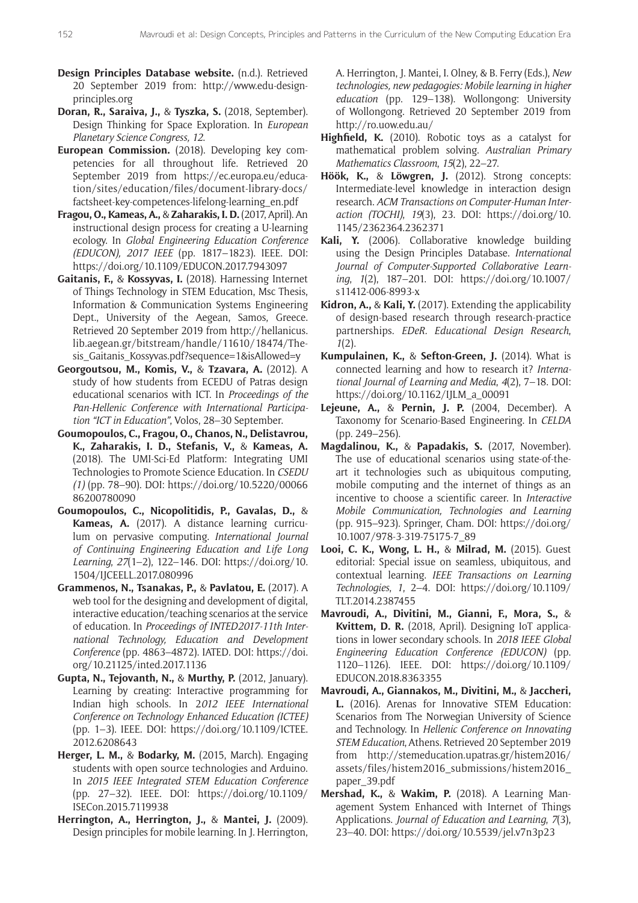- **Design Principles Database website.** (n.d.). Retrieved 20 September 2019 from: [http://www.edu-design](http://www.edu-design-principles.org)[principles.org](http://www.edu-design-principles.org)
- **Doran, R., Saraiva, J.,** & **Tyszka, S.** (2018, September). Design Thinking for Space Exploration. In *European Planetary Science Congress, 12*.
- **European Commission.** (2018). Developing key competencies for all throughout life. Retrieved 20 September 2019 from [https://ec.europa.eu/educa](https://ec.europa.eu/education/sites/education/files/document-library-docs/factsheet-key-competences-lifelong-learning_en.pdf)[tion/sites/education/files/document-library-docs/](https://ec.europa.eu/education/sites/education/files/document-library-docs/factsheet-key-competences-lifelong-learning_en.pdf) [factsheet-key-competences-lifelong-learning\\_en.pdf](https://ec.europa.eu/education/sites/education/files/document-library-docs/factsheet-key-competences-lifelong-learning_en.pdf)
- **Fragou, O., Kameas, A.,** & **Zaharakis, I. D.** (2017, April). An instructional design process for creating a U-learning ecology. In *Global Engineering Education Conference (EDUCON), 2017 IEEE* (pp. 1817–1823). IEEE. DOI: <https://doi.org/10.1109/EDUCON.2017.7943097>
- **Gaitanis, F.,** & **Kossyvas, I.** (2018). Harnessing Internet of Things Technology in STEM Education, Msc Thesis, Information & Communication Systems Engineering Dept., University of the Aegean, Samos, Greece. Retrieved 20 September 2019 from [http://hellanicus.](http://hellanicus.lib.aegean.gr/bitstream/handle/11610/18474/Thesis_Gaitanis_Kossyvas.pdf?sequence=1&isAllowed=y) [lib.aegean.gr/bitstream/handle/11610/18474/The](http://hellanicus.lib.aegean.gr/bitstream/handle/11610/18474/Thesis_Gaitanis_Kossyvas.pdf?sequence=1&isAllowed=y)[sis\\_Gaitanis\\_Kossyvas.pdf?sequence=1&isAllowed=y](http://hellanicus.lib.aegean.gr/bitstream/handle/11610/18474/Thesis_Gaitanis_Kossyvas.pdf?sequence=1&isAllowed=y)
- **Georgoutsou, M., Komis, V.,** & **Tzavara, A.** (2012). A study of how students from ECEDU of Patras design educational scenarios with ICT. In *Proceedings of the Pan-Hellenic Conference with International Participation "ICT in Education"*, Volos, 28–30 September.
- **Goumopoulos, C., Fragou, O., Chanos, N., Delistavrou, K., Zaharakis, I. D., Stefanis, V.,** & **Kameas, A.** (2018). The UMI-Sci-Ed Platform: Integrating UMI Technologies to Promote Science Education. In *CSEDU (1)* (pp. 78–90). DOI: [https://doi.org/10.5220/00066](https://doi.org/10.5220/0006686200780090) [86200780090](https://doi.org/10.5220/0006686200780090)
- **Goumopoulos, C., Nicopolitidis, P., Gavalas, D.,** & **Kameas, A.** (2017). A distance learning curriculum on pervasive computing. *International Journal of Continuing Engineering Education and Life Long Learning*, *27*(1–2), 122–146. DOI: [https://doi.org/10.](https://doi.org/10.1504/IJCEELL.2017.080996) [1504/IJCEELL.2017.080996](https://doi.org/10.1504/IJCEELL.2017.080996)
- **Grammenos, N., Tsanakas, P.,** & **Pavlatou, E.** (2017). A web tool for the designing and development of digital, interactive education/teaching scenarios at the service of education. In *Proceedings of INTED2017-11th International Technology, Education and Development Conference* (pp. 4863–4872). IATED. DOI: [https://doi.](https://doi.org/10.21125/inted.2017.1136) [org/10.21125/inted.2017.1136](https://doi.org/10.21125/inted.2017.1136)
- **Gupta, N., Tejovanth, N.,** & **Murthy, P.** (2012, January). Learning by creating: Interactive programming for Indian high schools. In 2*012 IEEE International Conference on Technology Enhanced Education (ICTEE)* (pp. 1–3). IEEE. DOI: [https://doi.org/10.1109/ICTEE.](https://doi.org/10.1109/ICTEE.2012.6208643) [2012.6208643](https://doi.org/10.1109/ICTEE.2012.6208643)
- **Herger, L. M.,** & **Bodarky, M.** (2015, March). Engaging students with open source technologies and Arduino. In *2015 IEEE Integrated STEM Education Conference*  (pp. 27–32). IEEE. DOI: [https://doi.org/10.1109/](https://doi.org/10.1109/ISECon.2015.7119938) [ISECon.2015.7119938](https://doi.org/10.1109/ISECon.2015.7119938)
- **Herrington, A., Herrington, J.,** & **Mantei, J.** (2009). Design principles for mobile learning. In J. Herrington,

A. Herrington, J. Mantei, I. Olney, & B. Ferry (Eds.), *New technologies, new pedagogies: Mobile learning in higher education* (pp. 129–138). Wollongong: University of Wollongong. Retrieved 20 September 2019 from <http://ro.uow.edu.au/>

- **Highfield, K.** (2010). Robotic toys as a catalyst for mathematical problem solving. *Australian Primary Mathematics Classroom*, *15*(2), 22–27.
- **Höök, K.,** & **Löwgren, J.** (2012). Strong concepts: Intermediate-level knowledge in interaction design research. *ACM Transactions on Computer-Human Interaction (TOCHI)*, *19*(3), 23. DOI: [https://doi.org/10.](https://doi.org/10.1145/2362364.2362371) [1145/2362364.2362371](https://doi.org/10.1145/2362364.2362371)
- **Kali, Y.** (2006). Collaborative knowledge building using the Design Principles Database. *International Journal of Computer-Supported Collaborative Learning*, *1*(2), 187–201. DOI: [https://doi.org/10.1007/](https://doi.org/10.1007/s11412-006-8993-x) [s11412-006-8993-x](https://doi.org/10.1007/s11412-006-8993-x)
- **Kidron, A.,** & **Kali, Y.** (2017). Extending the applicability of design-based research through research-practice partnerships. *EDeR. Educational Design Research*, *1*(2).
- **Kumpulainen, K.,** & **Sefton-Green, J.** (2014). What is connected learning and how to research it? *International Journal of Learning and Media*, *4*(2), 7–18. DOI: [https://doi.org/10.1162/IJLM\\_a\\_00091](https://doi.org/10.1162/IJLM_a_00091)
- **Lejeune, A.,** & **Pernin, J. P.** (2004, December). A Taxonomy for Scenario-Based Engineering. In *CELDA* (pp. 249–256).
- **Magdalinou, K.,** & **Papadakis, S.** (2017, November). The use of educational scenarios using state-of-theart it technologies such as ubiquitous computing, mobile computing and the internet of things as an incentive to choose a scientific career. In *Interactive Mobile Communication, Technologies and Learning* (pp. 915–923). Springer, Cham. DOI: [https://doi.org/](https://doi.org/10.1007/978-3-319-75175-7_89) [10.1007/978-3-319-75175-7\\_89](https://doi.org/10.1007/978-3-319-75175-7_89)
- **Looi, C. K., Wong, L. H.,** & **Milrad, M.** (2015). Guest editorial: Special issue on seamless, ubiquitous, and contextual learning. *IEEE Transactions on Learning Technologies*, *1*, 2–4. DOI: [https://doi.org/10.1109/](https://doi.org/10.1109/TLT.2014.2387455) [TLT.2014.2387455](https://doi.org/10.1109/TLT.2014.2387455)
- **Mavroudi, A., Divitini, M., Gianni, F., Mora, S.,** & **Kvittem, D. R.** (2018, April). Designing IoT applications in lower secondary schools. In *2018 IEEE Global Engineering Education Conference (EDUCON)* (pp. 1120–1126). IEEE. DOI: [https://doi.org/10.1109/](https://doi.org/10.1109/EDUCON.2018.8363355) [EDUCON.2018.8363355](https://doi.org/10.1109/EDUCON.2018.8363355)
- **Mavroudi, A., Giannakos, M., Divitini, M.,** & **Jaccheri, L.** (2016). Arenas for Innovative STEM Education: Scenarios from The Norwegian University of Science and Technology. In *Hellenic Conference on Innovating STEM Education*, Athens. Retrieved 20 September 2019 from [http://stemeducation.upatras.gr/histem2016/](http://stemeducation.upatras.gr/histem2016/assets/files/histem2016_submissions/histem2016_paper_39.pdf) [assets/files/histem2016\\_submissions/histem2016\\_](http://stemeducation.upatras.gr/histem2016/assets/files/histem2016_submissions/histem2016_paper_39.pdf) [paper\\_39.pdf](http://stemeducation.upatras.gr/histem2016/assets/files/histem2016_submissions/histem2016_paper_39.pdf)
- **Mershad, K.,** & **Wakim, P.** (2018). A Learning Management System Enhanced with Internet of Things Applications. *Journal of Education and Learning*, *7*(3), 23–40. DOI:<https://doi.org/10.5539/jel.v7n3p23>